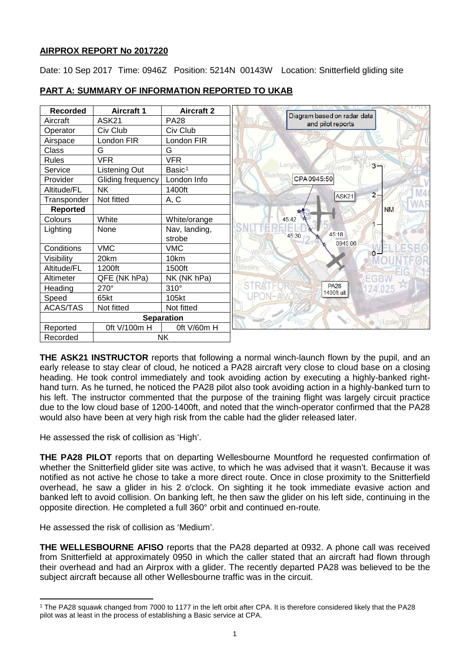# **AIRPROX REPORT No 2017220**

Date: 10 Sep 2017 Time: 0946Z Position: 5214N 00143W Location: Snitterfield gliding site



# **PART A: SUMMARY OF INFORMATION REPORTED TO UKAB**

**THE ASK21 INSTRUCTOR** reports that following a normal winch-launch flown by the pupil, and an early release to stay clear of cloud, he noticed a PA28 aircraft very close to cloud base on a closing heading. He took control immediately and took avoiding action by executing a highly-banked righthand turn. As he turned, he noticed the PA28 pilot also took avoiding action in a highly-banked turn to his left. The instructor commented that the purpose of the training flight was largely circuit practice due to the low cloud base of 1200-1400ft, and noted that the winch-operator confirmed that the PA28 would also have been at very high risk from the cable had the glider released later.

He assessed the risk of collision as 'High'.

**THE PA28 PILOT** reports that on departing Wellesbourne Mountford he requested confirmation of whether the Snitterfield glider site was active, to which he was advised that it wasn't. Because it was notified as not active he chose to take a more direct route. Once in close proximity to the Snitterfield overhead, he saw a glider in his 2 o'clock. On sighting it he took immediate evasive action and banked left to avoid collision. On banking left, he then saw the glider on his left side, continuing in the opposite direction. He completed a full 360° orbit and continued en-route.

He assessed the risk of collision as 'Medium'.

**THE WELLESBOURNE AFISO** reports that the PA28 departed at 0932. A phone call was received from Snitterfield at approximately 0950 in which the caller stated that an aircraft had flown through their overhead and had an Airprox with a glider. The recently departed PA28 was believed to be the subject aircraft because all other Wellesbourne traffic was in the circuit.

<span id="page-0-0"></span>l <sup>1</sup> The PA28 squawk changed from 7000 to 1177 in the left orbit after CPA. It is therefore considered likely that the PA28 pilot was at least in the process of establishing a Basic service at CPA.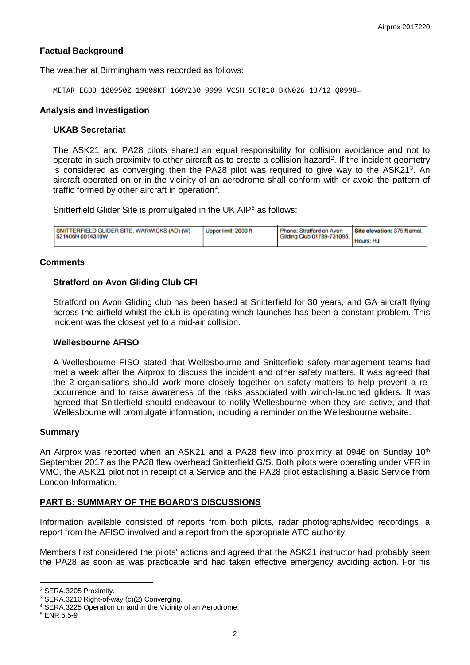## **Factual Background**

The weather at Birmingham was recorded as follows:

METAR EGBB 100950Z 19008KT 160V230 9999 VCSH SCT010 BKN026 13/12 Q0998=

#### **Analysis and Investigation**

#### **UKAB Secretariat**

The ASK21 and PA28 pilots shared an equal responsibility for collision avoidance and not to operate in such proximity to other aircraft as to create a collision hazard<sup>[2](#page-1-0)</sup>. If the incident geometry is considered as converging then the PA28 pilot was required to give way to the ASK21<sup>[3](#page-1-1)</sup>. An aircraft operated on or in the vicinity of an aerodrome shall conform with or avoid the pattern of traffic formed by other aircraft in operation<sup>[4](#page-1-2)</sup>.

Snitterfield Glider Site is promulgated in the UK AIP<sup>[5](#page-1-3)</sup> as follows:

| SNITTERFIELD GLIDER SITE, WARWICKS (AD) (W)<br>521406N 0014310W | Upper limit: 2000 ft | Phone: Stratford on Avon<br>Gliding Club 01789-731095. | Site elevation: 375 ft amsl. |
|-----------------------------------------------------------------|----------------------|--------------------------------------------------------|------------------------------|
|                                                                 |                      |                                                        | Hours: HJ                    |

#### **Comments**

### **Stratford on Avon Gliding Club CFI**

Stratford on Avon Gliding club has been based at Snitterfield for 30 years, and GA aircraft flying across the airfield whilst the club is operating winch launches has been a constant problem. This incident was the closest yet to a mid-air collision.

## **Wellesbourne AFISO**

A Wellesbourne FISO stated that Wellesbourne and Snitterfield safety management teams had met a week after the Airprox to discuss the incident and other safety matters. It was agreed that the 2 organisations should work more closely together on safety matters to help prevent a reoccurrence and to raise awareness of the risks associated with winch-launched gliders. It was agreed that Snitterfield should endeavour to notify Wellesbourne when they are active, and that Wellesbourne will promulgate information, including a reminder on the Wellesbourne website.

### **Summary**

An Airprox was reported when an ASK21 and a PA28 flew into proximity at 0946 on Sunday  $10<sup>th</sup>$ September 2017 as the PA28 flew overhead Snitterfield G/S. Both pilots were operating under VFR in VMC, the ASK21 pilot not in receipt of a Service and the PA28 pilot establishing a Basic Service from London Information.

### **PART B: SUMMARY OF THE BOARD'S DISCUSSIONS**

Information available consisted of reports from both pilots, radar photographs/video recordings, a report from the AFISO involved and a report from the appropriate ATC authority.

Members first considered the pilots' actions and agreed that the ASK21 instructor had probably seen the PA28 as soon as was practicable and had taken effective emergency avoiding action. For his

 $\overline{a}$ 

<sup>2</sup> SERA.3205 Proximity.

<span id="page-1-1"></span><span id="page-1-0"></span><sup>3</sup> SERA.3210 Right-of-way (c)(2) Converging.

<span id="page-1-2"></span><sup>4</sup> SERA.3225 Operation on and in the Vicinity of an Aerodrome.

<span id="page-1-3"></span><sup>5</sup> ENR 5.5-9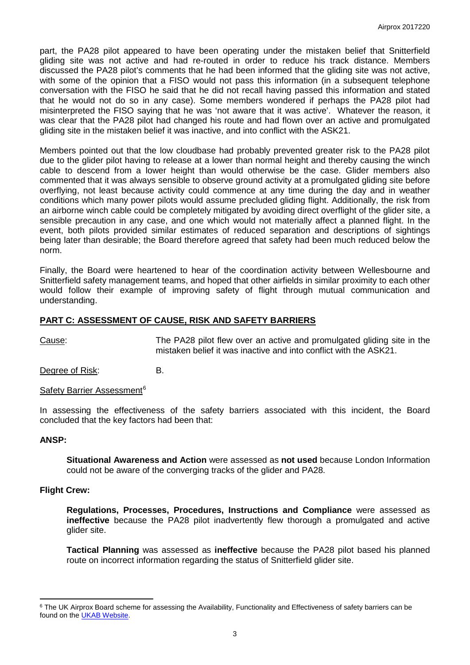part, the PA28 pilot appeared to have been operating under the mistaken belief that Snitterfield gliding site was not active and had re-routed in order to reduce his track distance. Members discussed the PA28 pilot's comments that he had been informed that the gliding site was not active, with some of the opinion that a FISO would not pass this information (in a subsequent telephone conversation with the FISO he said that he did not recall having passed this information and stated that he would not do so in any case). Some members wondered if perhaps the PA28 pilot had misinterpreted the FISO saying that he was 'not aware that it was active'. Whatever the reason, it was clear that the PA28 pilot had changed his route and had flown over an active and promulgated gliding site in the mistaken belief it was inactive, and into conflict with the ASK21.

Members pointed out that the low cloudbase had probably prevented greater risk to the PA28 pilot due to the glider pilot having to release at a lower than normal height and thereby causing the winch cable to descend from a lower height than would otherwise be the case. Glider members also commented that it was always sensible to observe ground activity at a promulgated gliding site before overflying, not least because activity could commence at any time during the day and in weather conditions which many power pilots would assume precluded gliding flight. Additionally, the risk from an airborne winch cable could be completely mitigated by avoiding direct overflight of the glider site, a sensible precaution in any case, and one which would not materially affect a planned flight. In the event, both pilots provided similar estimates of reduced separation and descriptions of sightings being later than desirable; the Board therefore agreed that safety had been much reduced below the norm.

Finally, the Board were heartened to hear of the coordination activity between Wellesbourne and Snitterfield safety management teams, and hoped that other airfields in similar proximity to each other would follow their example of improving safety of flight through mutual communication and understanding.

## **PART C: ASSESSMENT OF CAUSE, RISK AND SAFETY BARRIERS**

Cause: The PA28 pilot flew over an active and promulgated gliding site in the mistaken belief it was inactive and into conflict with the ASK21.

Degree of Risk: B.

Safety Barrier Assessment<sup>[6](#page-2-0)</sup>

In assessing the effectiveness of the safety barriers associated with this incident, the Board concluded that the key factors had been that:

### **ANSP:**

l

**Situational Awareness and Action** were assessed as **not used** because London Information could not be aware of the converging tracks of the glider and PA28.

### **Flight Crew:**

**Regulations, Processes, Procedures, Instructions and Compliance** were assessed as **ineffective** because the PA28 pilot inadvertently flew thorough a promulgated and active glider site.

**Tactical Planning** was assessed as **ineffective** because the PA28 pilot based his planned route on incorrect information regarding the status of Snitterfield glider site.

<span id="page-2-0"></span><sup>&</sup>lt;sup>6</sup> The UK Airprox Board scheme for assessing the Availability, Functionality and Effectiveness of safety barriers can be found on the [UKAB Website.](http://www.airproxboard.org.uk/Learn-more/Airprox-Barrier-Assessment/)